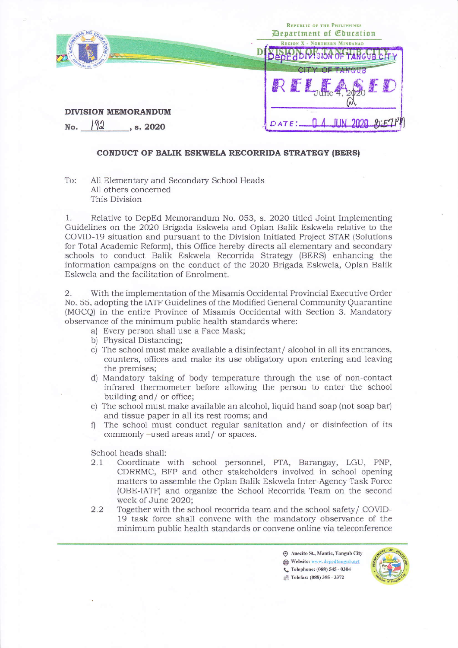

## CONDUCT OF BALIK ESKWELA RECORRIDA STRATEGY (BERSI

To: A11 Elementary and Secondary School Heads All others concerned This Division

1. Relative to DepEd Memorandum No. 053, s. 2020 titled Joint Implementing Guidelines on the 2020 Brigada Eskwela and Oplan Balik Eskwela relative to the COVID-19 situation and pursuant to the Division Initiated Project STAR {Solutions for Total Academic Reform), this Office hereby directs all elementary and secondary schools to conduct Balik Eskwela Recorrida Strategy (BERS) enhancing the information campaigns on the conduct of the 2020 Brigada Eskwela, Oplan Balik Eskwela and the facilitation of Enrolment.

2. With the implementation of the Misamis Occidental Provincial Executive Order No. 55, adopting the IATF Guidelines of the Modified General Community Quarantine (MGCQ) in the entire Province of Misamis Occidental with Section 3. Mandatory observance of the minimum public health standards where:

- a) Every person shall use a Face Mask;
- b) Physical Distancing;
- c) The school must make available a disinfectant/ alcohol in all its entrances, counters, offices and make its use obligatory upon entering and leaving the premises;
- d) Mandatory taking of body temperature through the use of non-contact infrared thermometer before allowing the person to enter the school building and/ or office;
- e) The school must make available an alcohol, liquid hand soap (not soap bar) and tissue paper in all its rest rooms; and  $\eta$  and  $\eta$  or disinfection of its
- commonly -used areas and/ or spaces.

School heads shall:

- 2.1 Coordinate with school personnel, PTA, Barangay, LGU, PNP, CDRRMC, BFP and other stakeholders involved in school opening matters to assemble the Oplan Balik Eskwela Inter-Agency Task Force (OBE-IATF) and organize the School Recorrida Team on the second week of June 2020;
- 2.2 Together with the school recorida team and the school safety/ COVID-19 task force shall convene with the mandatory observance of the minimum public health standards or convene online via teleconference

 $\odot$  Anecito St., Mantic, Tangub City Website: www.depedtangub.net L. Telephone: (088) 545 - 0304 Telefax: (088) 395 - 3372